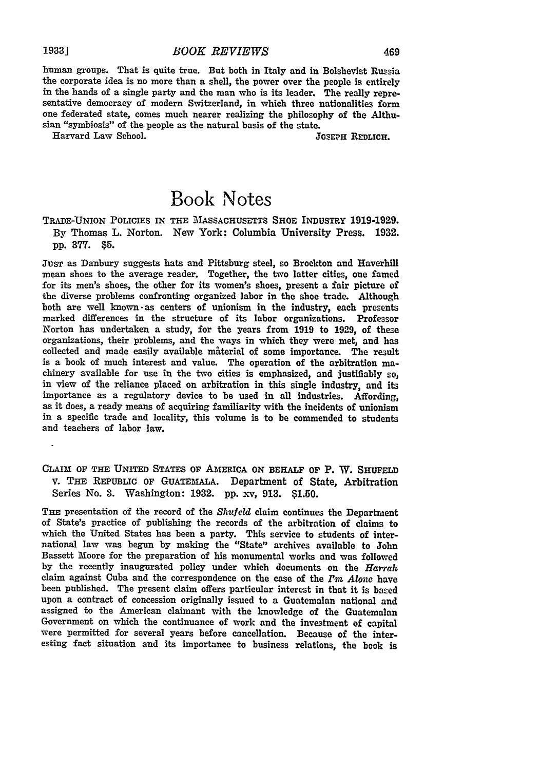human groups. That is quite true. But both in Italy and in Bolshevist Russia the corporate idea is no more than a shell, the power over the people is entirely in the hands of a single party and the man who is its leader. The really representative democracy of modern Switzerland, in which three nationalities form one federated state, comes much nearer realizing the philosophy of the Althusian "symbiosis" of the people as the natural basis of the state.

Harvard Law School. JOSEH REDLICH.

## Book Notes

TRADE-UNION POLICIES IN THE **MASSACHUSETTS SHOE** INDUSTRY 1919-1929. **By** Thomas L. Norton. New York: Columbia University Press. **1932. pp. 377. \$5.**

**JuST** as Danbury suggests hats and Pittsburg steel, so Brockton and Haverhill mean shoes to the average reader. Together, the two latter cities, one famed for its men's shoes, the other for its women's shoes, present a fair picture of the diverse problems confronting organized labor in the shoe trade. Although both are well known as centers of unionism in the industry, each presents marked differences in the structure of its labor organizations. Professor Norton has undertaken a study, for the years from **1919** to **1929,** of these organizations, their problems, and the ways in which they were met, and has collected and made easily available material of some importance. The result is a book of much interest and value. The operation of the arbitration machinery available for use in the two cities is emphasized, and justifiably so, in view of the reliance placed on arbitration in this single industry, and its importance as a regulatory device to be used in all industries. Affording, as it does, a ready means of acquiring familiarity with the incidents of unionism in a specific trade and locality, this volume is to be commended to students and teachers of labor law.

CLAIM OF **THE UNITED STATES** OF AMERICA, **ON BEHALF** OF P. W. **SHUFELD** v. **THE** REPUBLIC OF GUATEMALA. Department of State, Arbitration Series No. **3.** Washington: **1932. pp.** xv, **913. \$1.50.**

TnE presentation of the record of the *Shvfcld* claim continues the Department of State's practice of publishing the records of the arbitration of claims to which the United States has been a party. This service to students of international law was begun **by** making the "State" archives available to John Bassett Moore for the preparation of his monumental works and was followed **by** the recently inaugurated policy under which documents on the *Harrah* claim against Cuba and the correspondence on the case of the *I'rm Alone* have been published. The present claim offers particular interest in that it is based upon a contract of concession originally issued to a Guatemalan national and assigned to the American claimant with the knowledge of the Guatemalan Government on which the continuance of work and the investment of capital were permitted for several years before cancellation. Because of the interesting fact situation and its importance to business relations, the book is